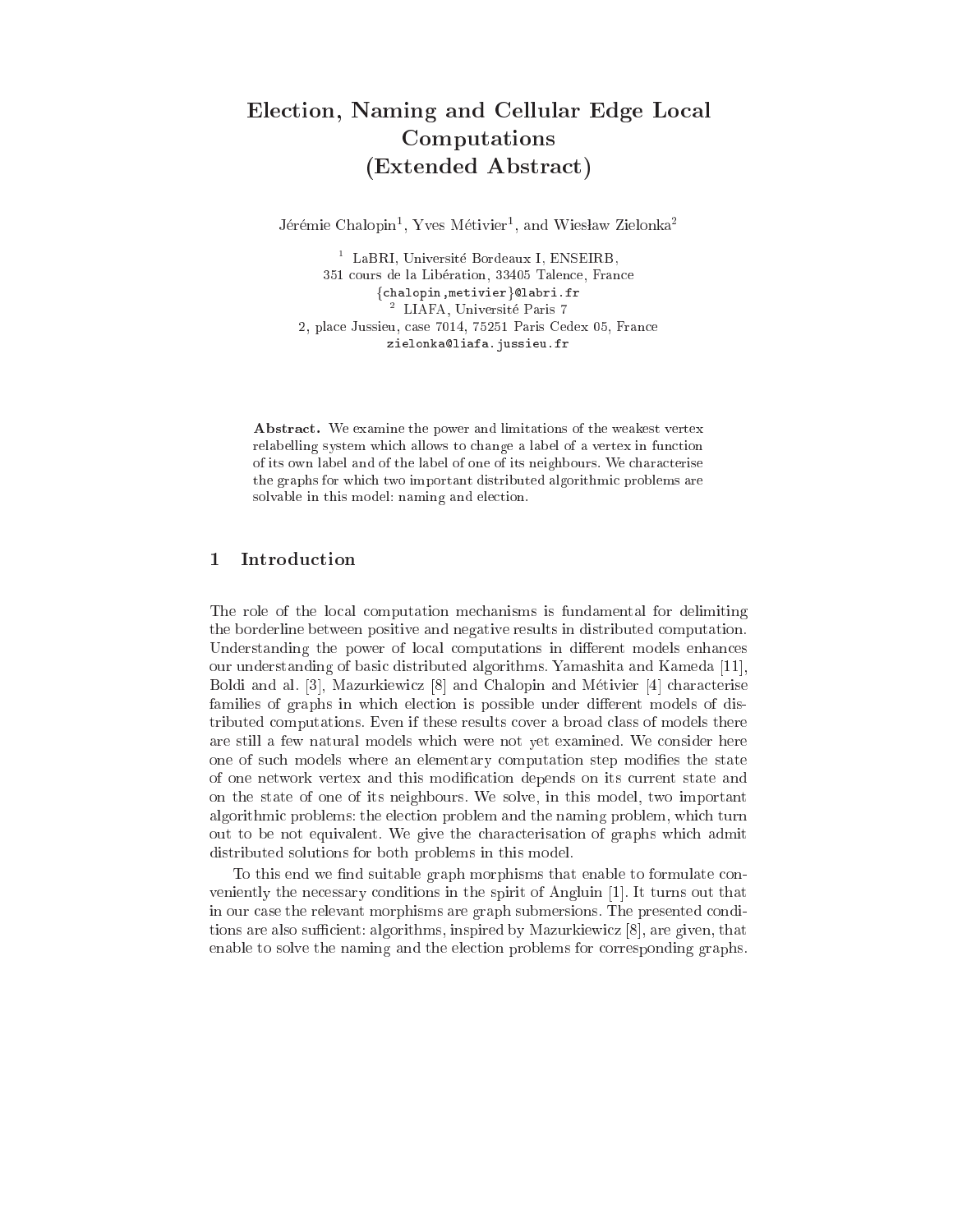# Election, Naming and Cellular Edge Local Computations (Extended Abstract)

Jerenne Chalophi, ives Metivier, and Wiesfaw Zielonka

<sup>-</sup> LaBRI, Universite Bordeaux I, ENSEIRB, 351 ours de la Liberation, 33405 Talen
e, Fran
e {chalopin, metivier}@labri.fr <sup>2</sup> LIAFA, Universite Paris 7 2, pla
e Jussieu, ase 7014, 75251 Paris Cedex 05, Fran
e zielonka@liafa.jussieu.fr

Abstract. We examine the power and limitations of the weakest vertex relabelling system which allows to change a label of a vertex in function of its own label and of the label of one of its neighbours. We hara
terise the graphs for which two important distributed algorithmic problems are solvable in this model: naming and election.

#### **Introduction** 1  $\overline{\phantom{0}}$

The role of the lo
al omputation me
hanisms is fundamental for delimiting the borderline between positive and negative results in distributed omputation. Understanding the power of local computations in different models enhances our understanding of basic distributed algorithms. Yamashita and Kameda [11], Boldi and al. [3], Mazurkiewicz [8] and Chalopin and Métivier [4] characterise families of graphs in which election is possible under different models of distributed omputations. Even if these results over a broad lass of models there are still a few natural models whi
h were not yet examined. We onsider here one of such models where an elementary computation step modifies the state of one network vertex and this modification depends on its current state and on the state of one of its neighbours. We solve, in this model, two important algorithmic problems: the election problem and the naming problem, which turn out to be not equivalent. We give the hara
terisation of graphs whi
h admit distributed solutions for both problems in this model.

To this end we find suitable graph morphisms that enable to formulate conveniently the necessary conditions in the spirit of Angluin [1]. It turns out that in our ase the relevant morphisms are graph submersions. The presented onditions are also sufficient: algorithms, inspired by Mazurkiewicz [8], are given, that enable to solve the naming and the election problems for corresponding graphs.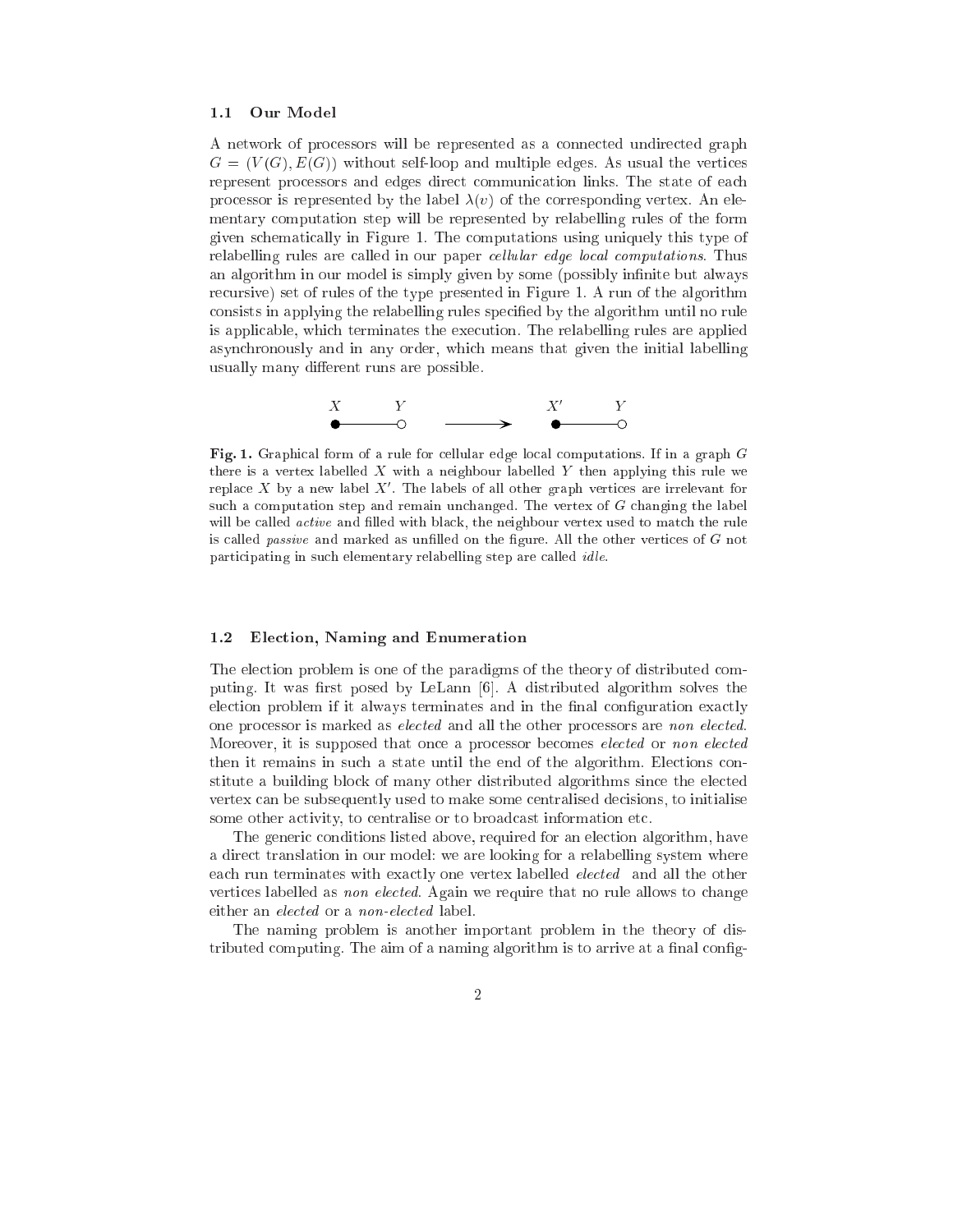### 1.1 Our Model

A network of processors will be represented as a connected undirected graph  $G = (V(G), E(G))$  without self-loop and multiple edges. As usual the vertices represent processors and edges direct communication links. The state of each processor is represented by the label  $\lambda(v)$  of the corresponding vertex. An elementary omputation step will be represented by relabelling rules of the form given s
hemati
ally in Figure 1. The omputations using uniquely this type of relabelling rules are called in our paper cellular edge local computations. Thus an algorithm in our model is simply given by some (possibly infinite but always re
ursive) set of rules of the type presented in Figure 1. A run of the algorithm onsists in applying the relabelling rules spe
ied by the algorithm until no rule is appli
able, whi
h terminates the exe
ution. The relabelling rules are applied asyn
hronously and in any order, whi
h means that given the initial labelling usually many different runs are possible.



Fig. 1. Graphical form of a rule for cellular edge local computations. If in a graph G there is a vertex labelled  $X$  with a neighbour labelled  $Y$  then applying this rule we replace  $\Lambda$  by a new label  $\Lambda$  . The labels of all other graph vertices are irrelevant for such a computation step and remain unchanged. The vertex of G changing the label will be called *active* and filled with black, the neighbour vertex used to match the rule is called  $passive$  and marked as unfilled on the figure. All the other vertices of  $G$  not participating in such elementary relabelling step are called *idle*.

### 1.2 Ele
tion, Naming and Enumeration

The election problem is one of the paradigms of the theory of distributed computing. It was first posed by LeLann [6]. A distributed algorithm solves the election problem if it always terminates and in the final configuration exactly one processor is marked as *elected* and all the other processors are non elected. Moreover, it is supposed that once a processor becomes elected or non elected then it remains in such a state until the end of the algorithm. Elections constitute a building block of many other distributed algorithms since the elected vertex an be subsequently used to make some entralised de
isions, to initialise some other activity, to centralise or to broadcast information etc.

The generic conditions listed above, required for an election algorithm, have a dire
t translation in our model: we are looking for a relabelling system where each run terminates with exactly one vertex labelled *elected* and all the other vertices labelled as *non elected*. Again we require that no rule allows to change either an *elected* or a *non-elected* label.

The naming problem is another important problem in the theory of distributed computing. The aim of a naming algorithm is to arrive at a final config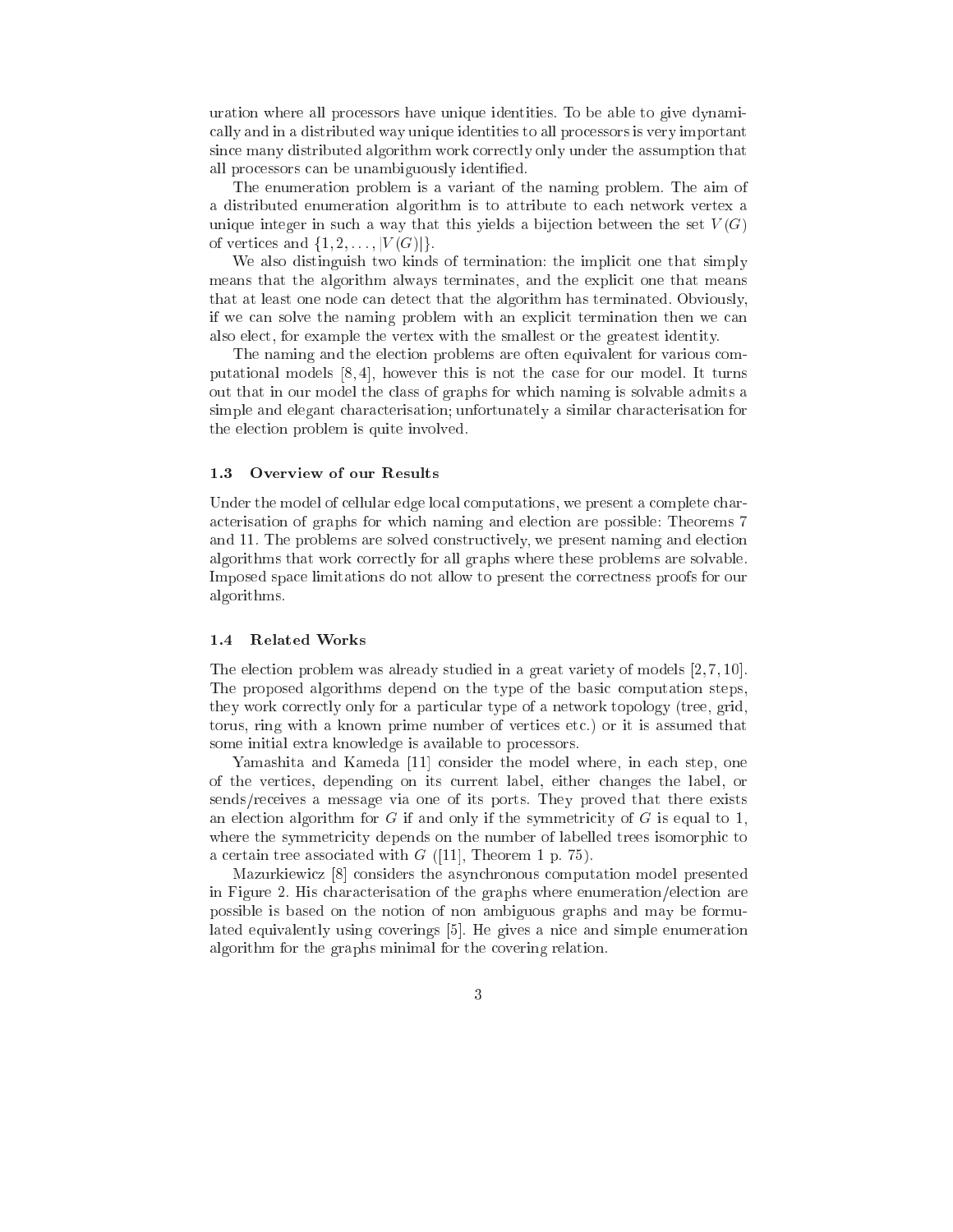uration where all pro
essors have unique identities. To be able to give dynami ally and in a distributed way unique identities to all pro
essors is very important sin
e many distributed algorithm work orre
tly only under the assumption that all pro
essors an be unambiguously identied.

The enumeration problem is a variant of the naming problem. The aim of a distributed enumeration algorithm is to attribute to ea
h network vertex a unique integer in such a way that this yields a bijection between the set  $V(G)$ of vertices and  $\{1, 2, \ldots, |V(G)|\}.$ 

We also distinguish two kinds of termination: the implicit one that simply means that the algorithm always terminates, and the expli
it one that means that at least one node an dete
t that the algorithm has terminated. Obviously, if we can solve the naming problem with an explicit termination then we can also ele
t, for example the vertex with the smallest or the greatest identity.

The naming and the election problems are often equivalent for various computational models  $[8, 4]$ , however this is not the case for our model. It turns out that in our model the lass of graphs for whi
h naming is solvable admits a simple and elegant characterisation; unfortunately a similar characterisation for the ele
tion problem is quite involved.

#### 1.3 Overview of our Results

Under the model of cellular edge local computations, we present a complete chara
terisation of graphs for whi
h naming and ele
tion are possible: Theorems 7 and 11. The problems are solved constructively, we present naming and election algorithms that work orre
tly for all graphs where these problems are solvable. Imposed space limitations do not allow to present the correctness proofs for our algorithms.

#### $1.4$ Related Works

The election problem was already studied in a great variety of models [2, 7, 10]. The proposed algorithms depend on the type of the basic computation steps, they work correctly only for a particular type of a network topology (tree, grid, torus, ring with a known prime number of verti
es et
.) or it is assumed that some initial extra knowledge is available to pro
essors.

Yamashita and Kameda [11] consider the model where, in each step, one of the verti
es, depending on its urrent label, either hanges the label, or sends/receives a message via one of its ports. They proved that there exists an election algorithm for  $G$  if and only if the symmetricity of  $G$  is equal to 1, where the symmetricity depends on the number of labelled trees isomorphic to a certain tree associated with  $G$  ([11], Theorem 1 p. 75).

Mazurkiewicz [8] considers the asynchronous computation model presented in Figure 2. His characterisation of the graphs where enumeration/election are possible is based on the notion of non ambiguous graphs and may be formulated equivalently using coverings [5]. He gives a nice and simple enumeration algorithm for the graphs minimal for the overing relation.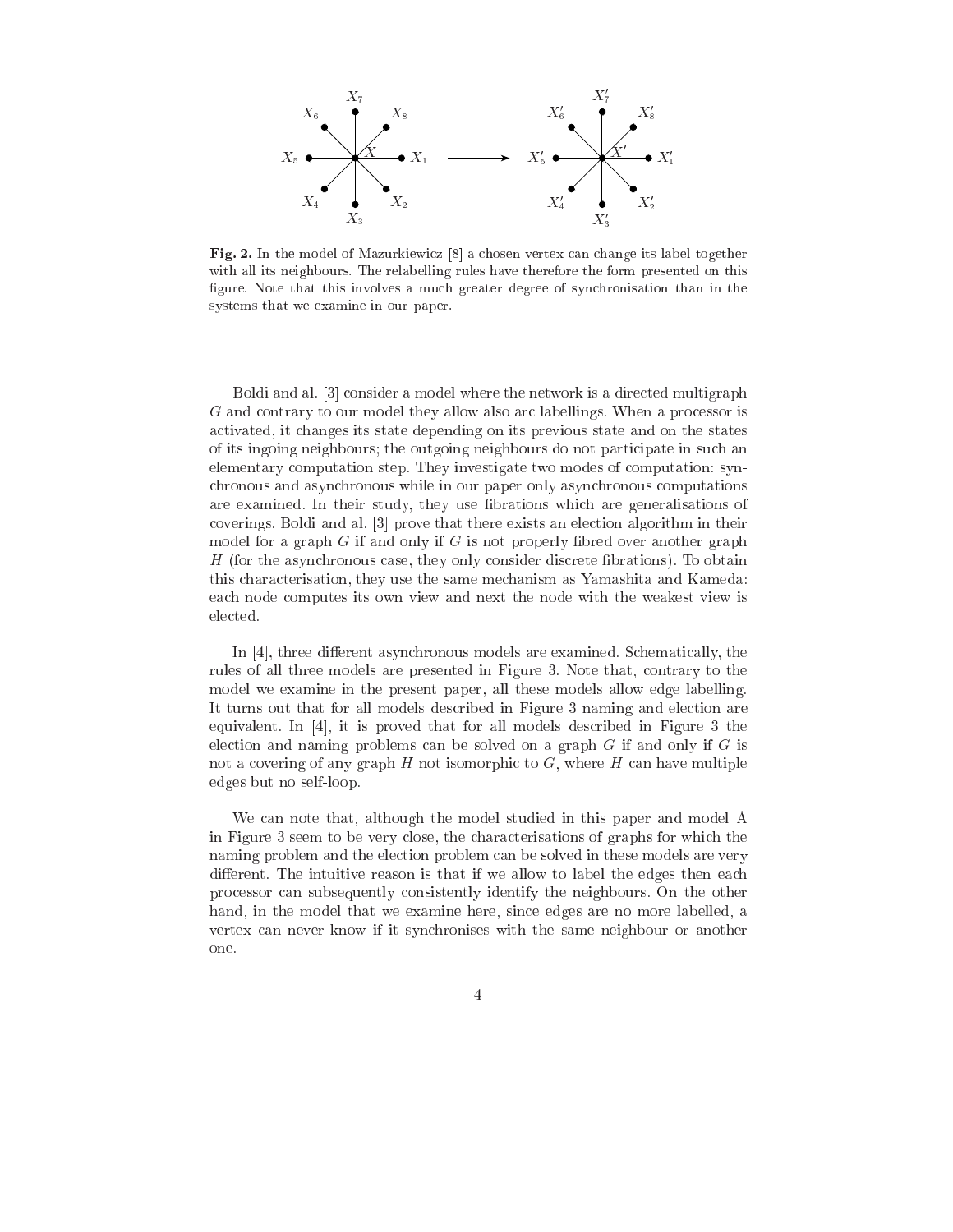

Fig. 2. In the model of Mazurkiewicz [8] a chosen vertex can change its label together with all its neighbours. The relabelling rules have therefore the form presented on this figure. Note that this involves a much greater degree of synchronisation than in the systems that we examine in our paper.

Boldi and al. [3] consider a model where the network is a directed multigraph G and contrary to our model they allow also arc labellings. When a processor is a
tivated, it hanges its state depending on its previous state and on the states of its ingoing neighbours; the outgoing neighbours do not parti
ipate in su
h an elementary omputation step. They investigate two modes of omputation: syn hronous and asyn
hronous while in our paper only asyn
hronous omputations are examined. In their study, they use brations whi
h are generalisations of coverings. Boldi and al. [3] prove that there exists an election algorithm in their model for a graph  $G$  if and only if  $G$  is not properly fibred over another graph H (for the asynchronous case, they only consider discrete fibrations). To obtain this hara
terisation, they use the same me
hanism as Yamashita and Kameda: ea
h node omputes its own view and next the node with the weakest view is elected.

In [4], three different asynchronous models are examined. Schematically, the rules of all three models are presented in Figure 3. Note that, ontrary to the model we examine in the present paper, all these models allow edge labelling. It turns out that for all models described in Figure 3 naming and election are equivalent. In  $[4]$ , it is proved that for all models described in Figure 3 the election and naming problems can be solved on a graph  $G$  if and only if  $G$  is not a covering of any graph  $H$  not isomorphic to  $G$ , where  $H$  can have multiple edges but no self-loop.

We an note that, although the model studied in this paper and model A in Figure 3 seem to be very lose, the hara
terisations of graphs for whi
h the naming problem and the election problem can be solved in these models are very different. The intuitive reason is that if we allow to label the edges then each pro
essor an subsequently onsistently identify the neighbours. On the other hand, in the model that we examine here, sin
e edges are no more labelled, a vertex can never know if it synchronises with the same neighbour or another one.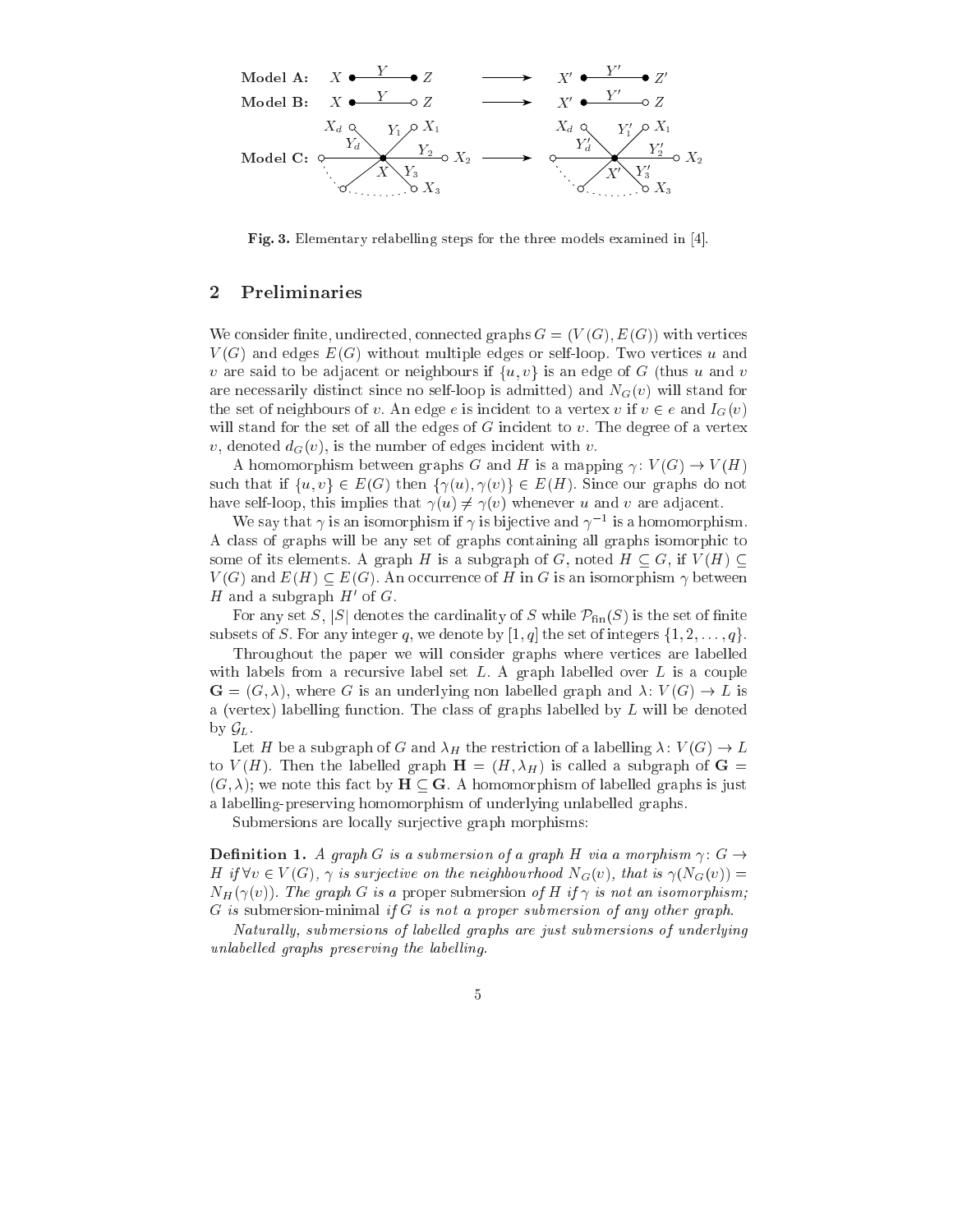

Fig. 3. Elementary relabelling steps for the three models examined in [4].

#### Preliminaries  $\overline{2}$

We consider finite, undirected, connected graphs  $G = (V(G), E(G))$  with vertices  $V(G)$  and edges  $E(G)$  without multiple edges or self-loop. Two vertices u and v are said to be adjacent or neighbours if  $\{u, v\}$  is an edge of G (thus u and v are necessarily distinct since no self-loop is admitted) and  $N<sub>G</sub>(v)$  will stand for the set of neighbours of v. An edge e is incident to a vertex v if  $v \in e$  and  $I_G(v)$ will stand for the set of all the edges of  $G$  incident to  $v$ . The degree of a vertex v, denoted  $d_G(v)$ , is the number of edges incident with v.

A homomorphism between graphs G and H is a mapping  $\gamma: V(G) \to V(H)$ such that if  $\{u, v\} \in E(G)$  then  $\{\gamma(u), \gamma(v)\} \in E(H)$ . Since our graphs do not have self-loop, this implies that  $\gamma(u) \neq \gamma(v)$  whenever u and v are adjacent.

We say that  $\gamma$  is an isomorphism if  $\gamma$  is bijective and  $\gamma$  - is a homomorphism. A class of graphs will be any set of graphs containing all graphs isomorphic to some of its elements. A graph H is a subgraph of G, noted  $H \subseteq G$ , if  $V(H) \subseteq$  $V(G)$  and  $E(H) \subseteq E(G)$ . An occurrence of H in G is an isomorphism  $\gamma$  between  $\pi$  and a subgraph  $\pi$  or  $\sigma$ .

For any set S,  $|S|$  denotes the cardinality of S while  $\mathcal{P}_{fin}(S)$  is the set of finite subsets of S. For any integer q, we denote by  $[1, q]$  the set of integers  $\{1, 2, \ldots, q\}$ .

Throughout the paper we will onsider graphs where verti
es are labelled with labels from a recursive label set L. A graph labelled over L is a couple  $\mathbf{G} = (G, \lambda)$ , where G is an underlying non labelled graph and  $\lambda: V(G) \to L$  is a (vertex) labelling function. The class of graphs labelled by L will be denoted by  $\mathcal{G}_L$ .

Let H be a subgraph of G and  $\lambda_H$  the restriction of a labelling  $\lambda: V(G) \to L$ to  $V(H)$ . Then the labelled graph  $H = (H, \lambda_H)$  is called a subgraph of  $G =$  $(G, \lambda)$ ; we note this fact by  $\mathbf{H} \subseteq \mathbf{G}$ . A homomorphism of labelled graphs is just a labelling-preserving homomorphism of underlying unlabelled graphs.

Submersions are locally surjective graph morphisms:

**Definition 1.** A graph G is a submersion of a graph H via a morphism  $\gamma: G \rightarrow$ H if  $\forall v \in V(G)$ ,  $\gamma$  is surjective on the neighbourhood  $N_G(v)$ , that is  $\gamma(N_G(v)) =$  $N_H(\gamma(v))$ . The graph G is a proper submersion of H if  $\gamma$  is not an isomorphism; G is submersion-minimal if G is not a proper submersion of any other graph.

Naturally, submersions of labelled graphs are just submersions of underlying unlabelled graphs preserving the labelling.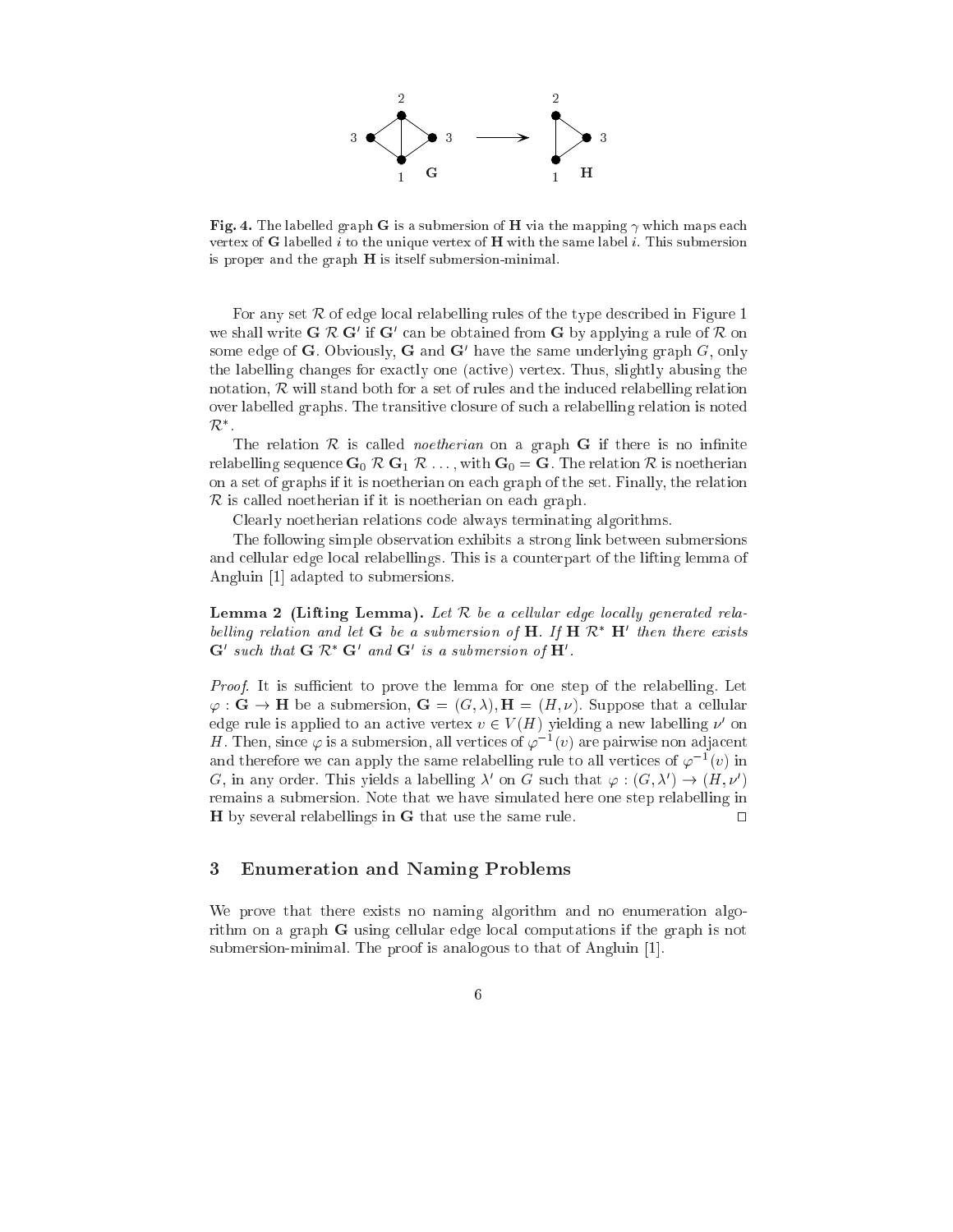

Fig. 4. The labelled graph G is a submersion of H via the mapping  $\gamma$  which maps each vertex of G labelled  $i$  to the unique vertex of H with the same label  $i$ . This submersion is proper and the graph H is itself submersion-minimal.

For any set  $R$  of edge local relabelling rules of the type described in Figure 1 we shall write G  $\kappa$  G  $\pi$  G  $\sigma$  can be obtained from G by applying a rule of  $\kappa$  on some edge of  $G$ . Obviously,  $G$  and  $G$  have the same underlying graph  $G$ , only the labelling hanges for exa
tly one (a
tive) vertex. Thus, slightly abusing the notation,  $\mathcal{R}$  will stand both for a set of rules and the induced relabelling relation over labelled graphs. The transitive losure of su
h a relabelling relation is noted  $\kappa$  .

The relation  $R$  is called *noetherian* on a graph  $G$  if there is no infinite relabelling sequence  $G_0 \mathcal{R} G_1 \mathcal{R} \ldots$ , with  $G_0 = G$ . The relation  $\mathcal{R}$  is noetherian on a set of graphs if it is noetherian on ea
h graph of the set. Finally, the relation  $\mathcal R$  is called noetherian if it is noetherian on each graph.

Clearly noetherian relations ode always terminating algorithms.

The following simple observation exhibits a strong link between submersions and cellular edge local relabellings. This is a counterpart of the lifting lemma of Angluin [1] adapted to submersions.

**Lemma 2 (Lifting Lemma).** Let  $R$  be a cellular edge locally generated relabelling relation and let  $G$  be a submersion of  $\mathbf{H}$ . If  $\mathbf{H}$   $\mathcal{K}$   $\mathbf{H}$  then there exists G such that G  $\kappa$  G and G is a submersion of  $\mathbf{H}$ .

Proof. It is sufficient to prove the lemma for one step of the relabelling. Let  $\varphi : \mathbf{G} \to \mathbf{H}$  be a submersion,  $\mathbf{G} = (G, \lambda), \mathbf{H} = (H, \nu)$ . Suppose that a cellular edge rule is applied to all active vertex  $v \in V(H)$  yielding a new labelling  $\nu$  on H . Then, since  $\varphi$  is a submersion, all vertices of  $\varphi^{-1}(v)$  are pairwise non adjacent and therefore we can apply the same relabelling rule to all vertices of  $\varphi^{-1}(v)$  in G, in any order. This yields a labelling  $\lambda^*$  on G such that  $\varphi : (G, \lambda^*) \to (H, \nu^*)$ remains a submersion. Note that we have simulated here one step relabelling in  $H$  by several relabellings in  $G$  that use the same rule.  $\Box$ 

# Enumeration and Naming Problems

We prove that there exists no naming algorithm and no enumeration algorithm on a graph G using cellular edge local computations if the graph is not submersion-minimal. The proof is analogous to that of Angluin  $[1]$ .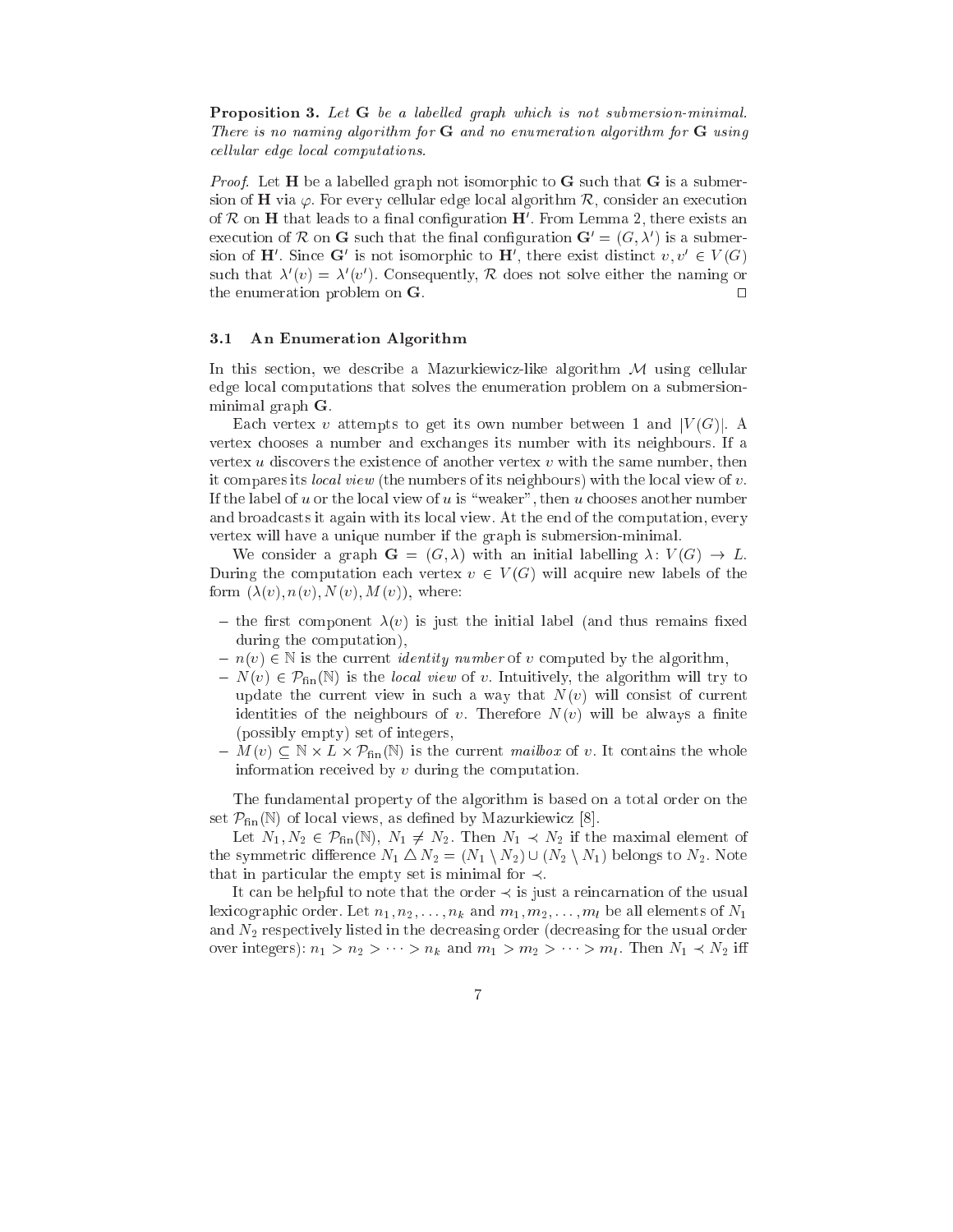**Proposition 3.** Let G be a labelled graph which is not submersion-minimal. There is no naming algorithm for G and no enumeration algorithm for G using cellular edge local computations.

*Proof.* Let **H** be a labelled graph not isomorphic to **G** such that **G** is a submersion of H via  $\varphi$ . For every cellular edge local algorithm R, consider an execution of  $\kappa$  on  ${\bf n}$  that leads to a final comiguration  ${\bf n}$  . From Lemma 2, there exists an execution of  $\kappa$  on G such that the imal comiguration  $G = (G, \lambda)$  is a submersion of  $\mathbf{u}$  , since  $\mathbf{G}$  is not isomorphic to  $\mathbf{n}$ , there exist distinct  $v, v \in V(G)$ such that  $\lambda$  (v)  $\equiv$   $\lambda$  (v). Consequently,  $\kappa$  does not solve either the naming or the enumeration problem on  $\mathbf G$ .

# 3.1 An Enumeration Algorithm

In this section, we describe a Mazurkiewicz-like algorithm  $\mathcal M$  using cellular edge lo
al omputations that solves the enumeration problem on a submersionminimal graph G.

Each vertex v attempts to get its own number between 1 and  $|V(G)|$ . A vertex hooses a number and ex
hanges its number with its neighbours. If a vertex  $u$  discovers the existence of another vertex  $v$  with the same number, then it compares its *local view* (the numbers of its neighbours) with the local view of v. If the label of  $u$  or the local view of  $u$  is "weaker", then  $u$  chooses another number and broad
asts it again with its lo
al view. At the end of the omputation, every vertex will have a unique number if the graph is submersion-minimal.

We consider a graph  $G = (G, \lambda)$  with an initial labelling  $\lambda: V(G) \to L$ . During the computation each vertex  $v \in V(G)$  will acquire new labels of the form  $(\lambda(v), n(v), N(v), M(v))$ , where:

- the first component  $\lambda(v)$  is just the initial label (and thus remains fixed during the omputation),
- ${-} n(v) \in \mathbb{N}$  is the current *identity number* of v computed by the algorithm,
- $N(v) \in \mathcal{P}_{fin}(\mathbb{N})$  is the local view of v. Intuitively, the algorithm will try to update the current view in such a way that  $N(v)$  will consist of current identities of the neighbours of v. Therefore  $N(v)$  will be always a finite (possibly empty) set of integers,
- $\mathcal{N}$  and  $\mathcal{N}$  -mail  $\mathcal{N}$  -mail  $\mathcal{N}$  -mailbox of v. It is the whole whole whole whole whole whole whole whole whole whole whole whole whole whole whole whole whole whole whole whole whole whole whole whole information received by  $v$  during the computation.

The fundamental property of the algorithm is based on a total order on the set  $\mathcal{P}_{fin}(\mathbb{N})$  of local views, as defined by Mazurkiewicz [8].

Let  $N_1, N_2 \in \mathcal{P}_{fin}(\mathbb{N}), N_1 \neq N_2$ . Then  $N_1 \prec N_2$  if the maximal element of the symmetric difference  $N_1 \triangle N_2 = (N_1 \setminus N_2) \cup (N_2 \setminus N_1)$  belongs to  $N_2$ . Note that in particular the empty set is minimal for  $\prec$ .

It can be helpful to note that the order  $\prec$  is just a reincarnation of the usual lexicographic order. Let  $n_1, n_2, \ldots, n_k$  and  $m_1, m_2, \ldots, m_l$  be all elements of  $N_1$ and  $N_2$  respectively listed in the decreasing order (decreasing for the usual order over integers):  $n_1 > n_2 > \cdots > n_k$  and  $m_1 > m_2 > \cdots > m_l$ . Then  $N_1 \prec N_2$  iff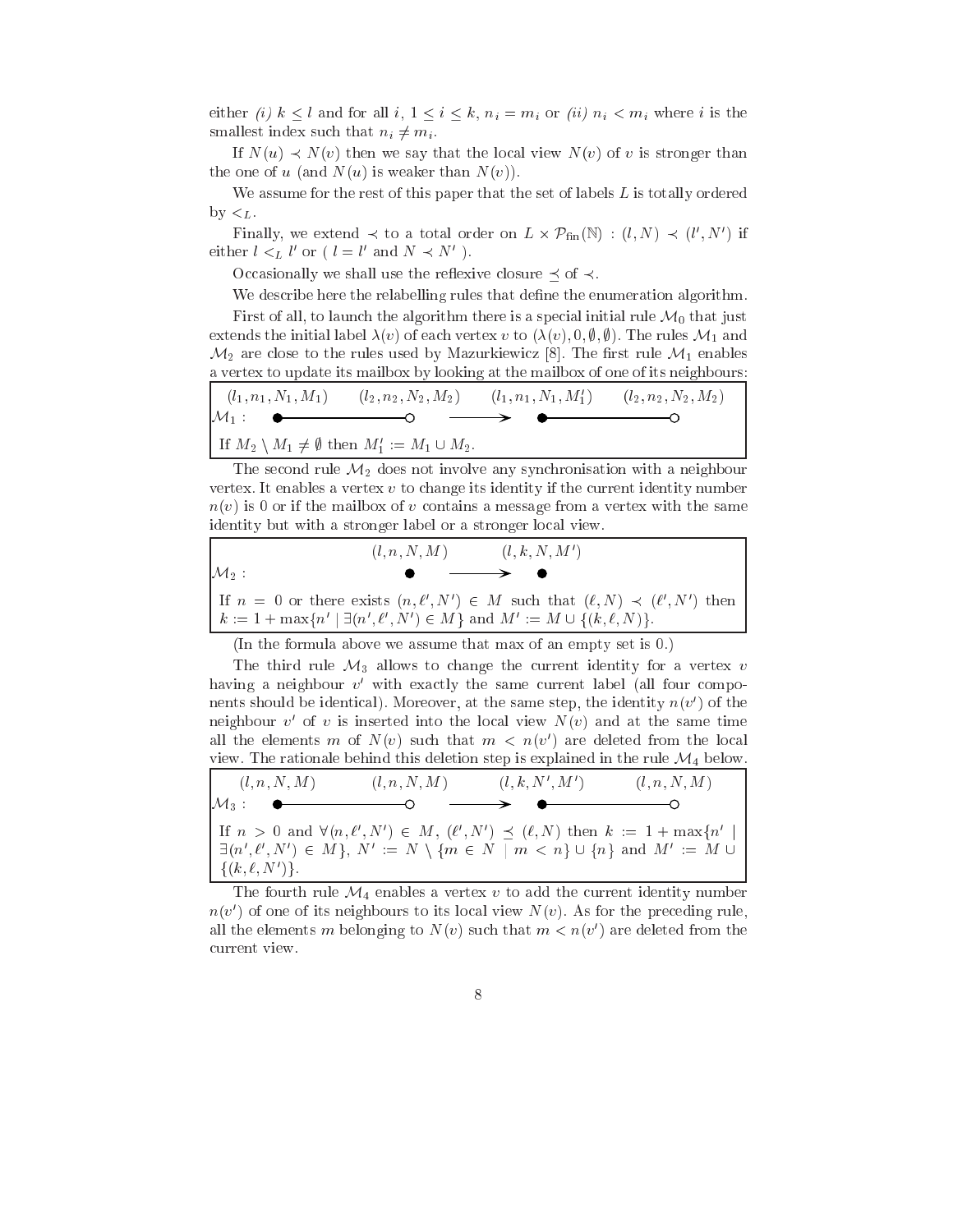either *(i)*  $k \leq l$  and for all  $i, 1 \leq i \leq k$ ,  $n_i = m_i$  or *(ii)*  $n_i < m_i$  where i is the smallest index such that  $n_i \neq m_i$ .

If  $N(u) \prec N(v)$  then we say that the local view  $N(v)$  of v is stronger than the one of u (and  $N(u)$  is weaker than  $N(v)$ ).

We assume for the rest of this paper that the set of labels  $L$  is totally ordered by  $\lt_L$ .

Finally, we extend  $\prec$  to a total order on L  $\times$   $P_{fin}(N)$  :  $(l, N)$   $\prec$   $(l, N)$  if either  $l \leq L l$  or  $l = l$  and  $N \leq N$  ).

Occasionally we shall use the reflexive closure  $\preceq$  of  $\prec$ .

We describe here the relabelling rules that define the enumeration algorithm.

First of all, to launch the algorithm there is a special initial rule  $\mathcal{M}_0$  that just extends the initial label  $\lambda(v)$  of each vertex v to  $(\lambda(v), 0, \emptyset, \emptyset)$ . The rules  $\mathcal{M}_1$  and  $\mathcal{M}_2$  are close to the rules used by Mazurkiewicz [8]. The first rule  $\mathcal{M}_1$  enables a vertex to update its mailbox by looking at the mailbox of one of its neighbours:

| $(l_1, n_1, N_1, M_1)$                                                                                      | $(l_2, n_2, N_2, M_2)$ $(l_1, n_1, N_1, M'_1)$ $(l_2, n_2, N_2, M_2)$ |  |
|-------------------------------------------------------------------------------------------------------------|-----------------------------------------------------------------------|--|
| $\mathcal{M}_1: \quad \bullet \hspace{1.5cm} \longrightarrow \hspace{1.5cm} \hspace{1.5cm} \longrightarrow$ |                                                                       |  |
| If $M_2 \setminus M_1 \neq \emptyset$ then $M'_1 := M_1 \cup M_2$ .                                         |                                                                       |  |

The second rule  $M_2$  does not involve any synchronisation with a neighbour vertex. It enables a vertex  $v$  to change its identity if the current identity number  $n(v)$  is 0 or if the mailbox of v contains a message from a vertex with the same identity but with a stronger label or a stronger lo
al view.

$$
\begin{array}{ccc}\n & (l, n, N, M) & (l, k, N, M') \\
\downarrow \mathcal{M}_2: & \bullet & \bullet & \bullet \\
\text{If } n = 0 \text{ or there exists } (n, \ell', N') \in M \text{ such that } (\ell, N) \prec (\ell', N') \text{ then} \\
k := 1 + \max\{n' \mid \exists (n', \ell', N') \in M\} \text{ and } M' := M \cup \{(k, \ell, N)\}.\n\end{array}
$$

(In the formula above we assume that max of an empty set is 0.)

The third rule  $\mathcal{M}_3$  allows to change the current identity for a vertex  $v$ having a neighbour  $v'$  with exactly the same current label (all four compo $n_{\text{max}}$  should be identical). Moreover, at the same step, the identity  $n(v_\text{U})$  of the  $\limsup$  v or v is inserted theo the local view  $N(v)$  and at the same time an the elements  $m$  of  $N(v)$  such that  $m < n(v)$  are defeted from the local view. The rationale behind this deletion step is explained in the rule  $\mathcal{M}_4$  below.

| (l, n, N, M)                                               | (l, n, N, M)                                                                                                                                                                                                        | (l, k, N', M') | (l, n, N, M) |
|------------------------------------------------------------|---------------------------------------------------------------------------------------------------------------------------------------------------------------------------------------------------------------------|----------------|--------------|
| ${\cal M}_3$ $\qquad \qquad \bullet \qquad \qquad \bullet$ |                                                                                                                                                                                                                     |                |              |
|                                                            | If $n > 0$ and $\forall (n, \ell', N') \in M$ , $(\ell', N') \preceq (\ell, N)$ then $k := 1 + \max\{n' \mid$<br>$\exists (n',\ell',N')\in M\},\ N':=N\setminus\{m\in N\mid m\lt n\}\cup\{n\}\text{ and }M':=M\cup$ |                |              |
| $\{(k,\ell,N')\}$ .                                        |                                                                                                                                                                                                                     |                |              |

The fourth rule  $\mathcal{M}_4$  enables a vertex v to add the current identity number  $n(v|)$  of one of its neighbours to its local view  $N(v)$ . As for the preceding rule, an the elements *in* belonging to *iv*(*v*) such that  $m < n(v)$  are deleted from the urrent view.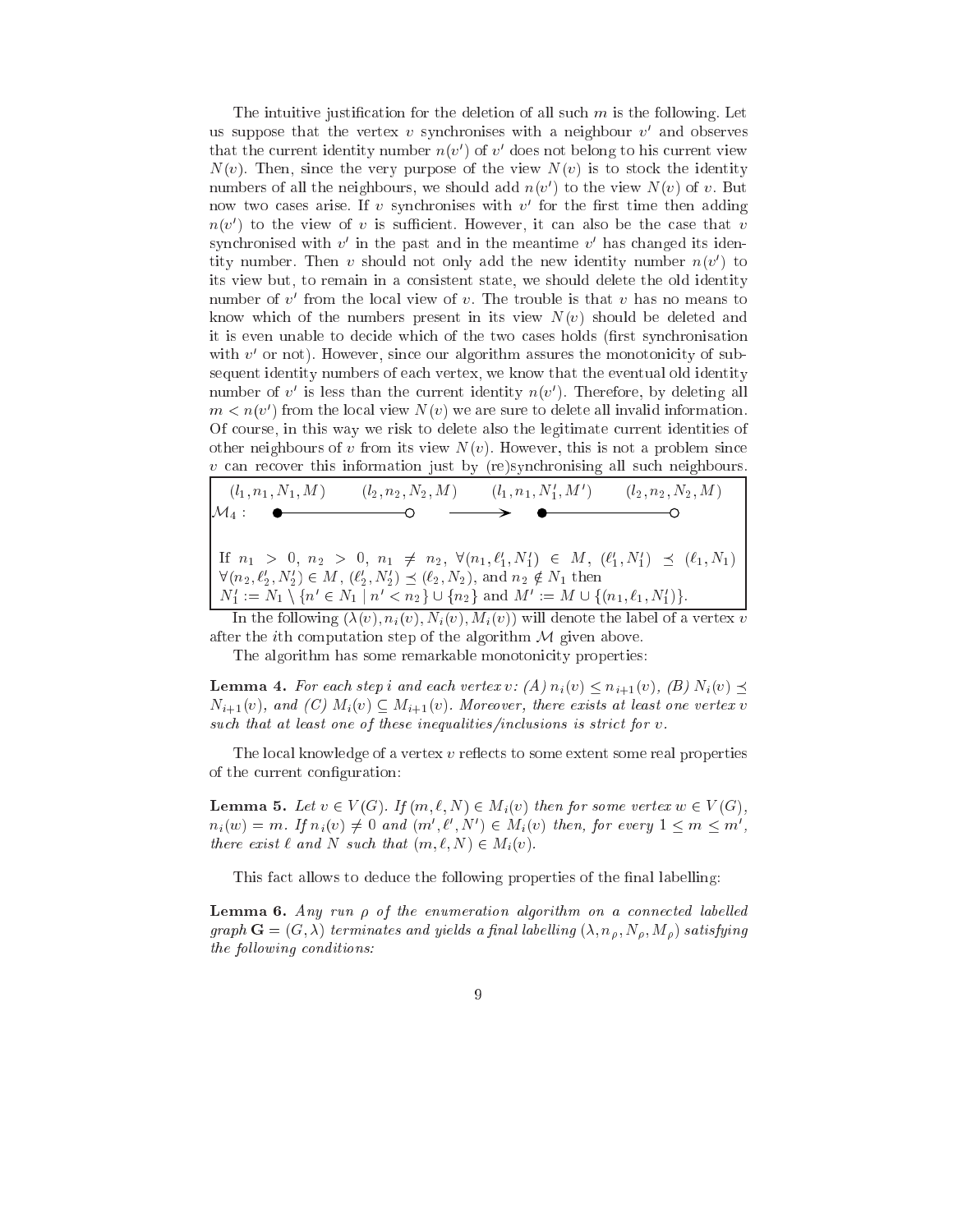The intuitive justification for the deletion of all such  $m$  is the following. Let us suppose that the vertex  $v$  synchronises with a neighbour  $v$  and observes  $\frac{1}{100}$  the current identity number  $n(v$  ) of  $v$  abes not belong to his current view  $N(v)$ . Then, since the very purpose of the view  $N(v)$  is to stock the identity numbers of an the neighbours, we should add  $n(v)$  to the view  $N(v)$  of v. But  $\,$  now two cases arise. If  $\,v\,$  synchronises with  $\,v\,$  for the first time then adding  $n(v$  ) to the view of  $v$  is sumclent. However, it can also be the case that  $v$ synchromsed with  $v$  in the past and in the meantime  $v$  has changed its iden $t$ hty number. Then  $v$  should not only add the new identity number  $n(v)$  to its view but, to remain in a onsistent state, we should delete the old identity  $\min$  of value the local view of v. The trouble is that valuation means to know which of the numbers present in its view  $N(v)$  should be deleted and it is even unable to decide which of the two cases holds (first synchronisation with  $v$  or not). However, since our algorithm assures the monotonicity of subsequent identity numbers of ea
h vertex, we know that the eventual old identity number of  $v$  is less than the current identity  $n(v$  ). Therefore, by deleting all  $m < n(v)$  from the local view  $N(v)$  we are sure to delete all invalid information. Of ourse, in this way we risk to delete also the legitimate urrent identities of other neighbours of v from its view  $N(v)$ . However, this is not a problem since v can recover this information just by (re)synchronising all such neighbours.



In the following  $(\lambda(v), n_i(v), N_i(v), M_i(v))$  will denote the label of a vertex v after the *i*th computation step of the algorithm  $M$  given above.

The algorithm has some remarkable monotonicity properties:

**Lemma 4.** For each step i and each vertex v: (A)  $n_i(v) \leq n_{i+1}(v)$ , (B)  $N_i(v) \preceq$  $N_{i+1}(v)$ , and  $(C)$   $M_i(v) \subset M_{i+1}(v)$ . Moreover, there exists at least one vertex v such that at least one of these inequalities/inclusions is strict for v.

The local knowledge of a vertex  $v$  reflects to some extent some real properties of the current configuration:

**Lemma 5.** Let  $v \in V(G)$ . If  $(m, \ell, N) \in M_i(v)$  then for some vertex  $w \in V(G)$ ,  $n_i(w) = m$ . If  $n_i(v) \neq 0$  and  $(m, \ell, N) \in M_i(v)$  then, for every  $1 \leq m \leq m$ , there exist  $\ell$  and N such that  $(m, \ell, N) \in M_i(v)$ .

This fact allows to deduce the following properties of the final labelling:

**Lemma 6.** Any run  $\rho$  of the enumeration algorithm on a connected labelled graph  $\mathbf{G} = (G, \lambda)$  terminates and yields a final labelling  $(\lambda, n_{\rho}, N_{\rho}, M_{\rho})$  satisfying the following conditions: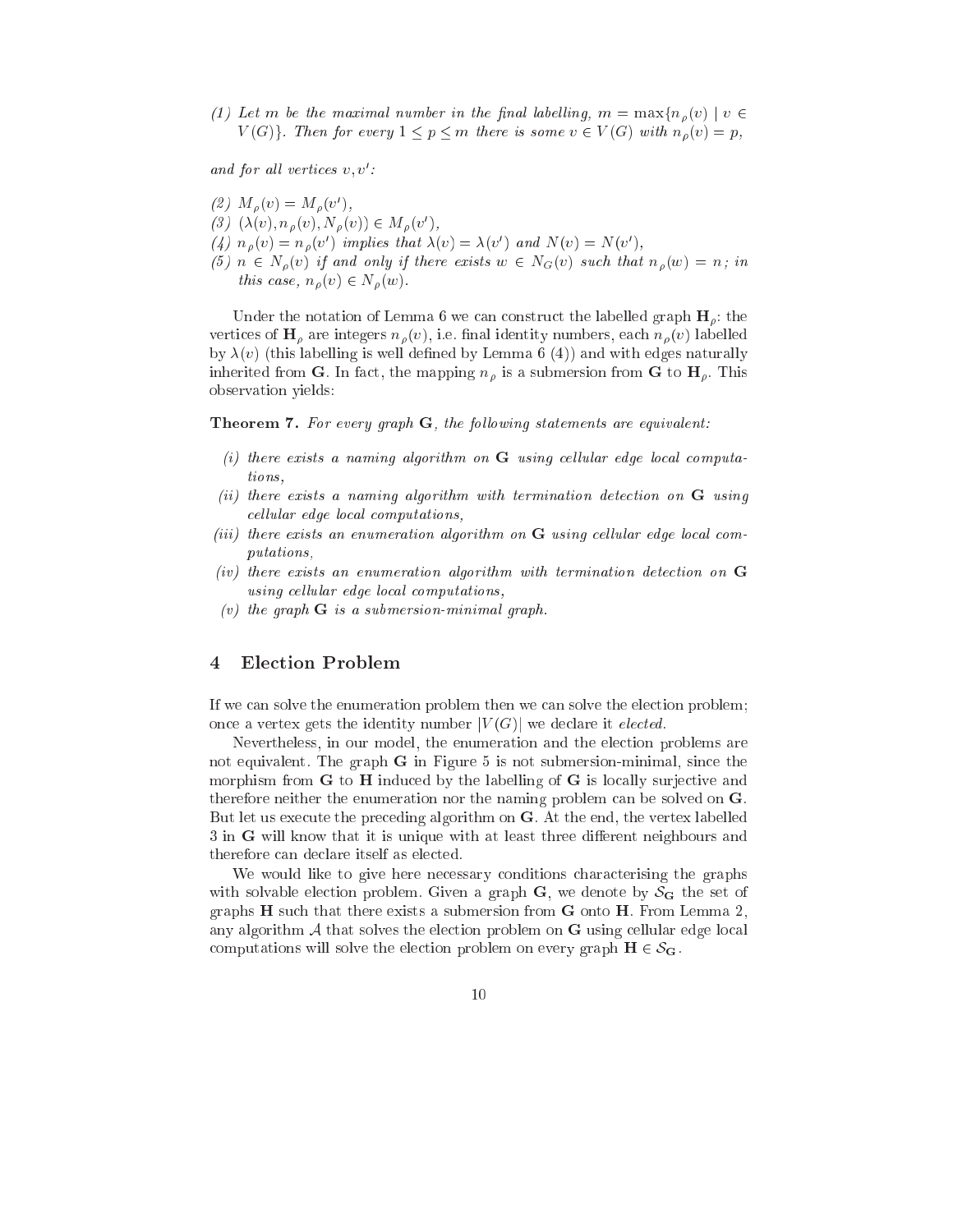(1) Let m be the maximal number in the final labelling,  $m = \max\{n_o(v) \mid v \in$  $V(G)$ . Then for every  $1 \leq p \leq m$  there is some  $v \in V(G)$  with  $n_o(v) = p$ ,

ana jor all vertices v, v :

- $(z)$   $M_{\theta}(v) = M_{\theta}(v)$ ,
- $(3)$   $(\Lambda(\nu), n_o(\nu), N_o(\nu)) \in M_o(\nu)$ ,
- $\mu_0(v) = n_o(v)$  implies that  $\lambda(v) = \lambda(v)$  and  $N(v) = N(v)$ ,
- (5)  $n \in N_\rho(v)$  if and only if there exists  $w \in N_G(v)$  such that  $n_\rho(w) = n$ ; in this case,  $n_{\rho}(v) \in N_{\rho}(w)$ .

Under the notation of Lemma 6 we can construct the labelled graph  $H_{\rho}$ : the vertices of  $\mathbf{H}_{\rho}$  are integers  $n_{\rho}(v)$ , i.e. final identity numbers, each  $n_{\rho}(v)$  labelled by  $\lambda(v)$  (this labelling is well defined by Lemma 6 (4)) and with edges naturally inherited from G. In fact, the mapping  $n<sub>\rho</sub>$  is a submersion from G to  $H<sub>\rho</sub>$ . This observation yields:

**Theorem 7.** For every graph  $G$ , the following statements are equivalent:

- $(i)$  there exists a naming algorithm on G using cellular edge local computations,
- $(ii)$  there exists a naming algorithm with termination detection on  $G$  using cellular edge local computations,
- (iii) there exists an enumeration algorithm on  $G$  using cellular edge local computations,
- $(iv)$  there exists an enumeration algorithm with termination detection on  $G$ using cellular edge local computations,
- (v) the graph  $G$  is a submersion-minimal graph.

# 4 Election Problem

If we can solve the enumeration problem then we can solve the election problem; once a vertex gets the identity number  $|V(G)|$  we declare it *elected*.

Nevertheless, in our model, the enumeration and the ele
tion problems are not equivalent. The graph G in Figure 5 is not submersion-minimal, since the morphism from  $G$  to  $H$  induced by the labelling of  $G$  is locally surjective and therefore neither the enumeration nor the naming problem can be solved on G. But let us execute the preceding algorithm on G. At the end, the vertex labelled 3 in G will know that it is unique with at least three different neighbours and therefore can declare itself as elected.

We would like to give here necessary conditions characterising the graphs with solvable election problem. Given a graph  $G$ , we denote by  $S_G$  the set of graphs  $H$  such that there exists a submersion from  $G$  onto  $H$ . From Lemma 2. any algorithm  $\mathcal A$  that solves the election problem on  $\mathbf G$  using cellular edge local computations will solve the election problem on every graph  $H \in \mathcal{S}_G$ .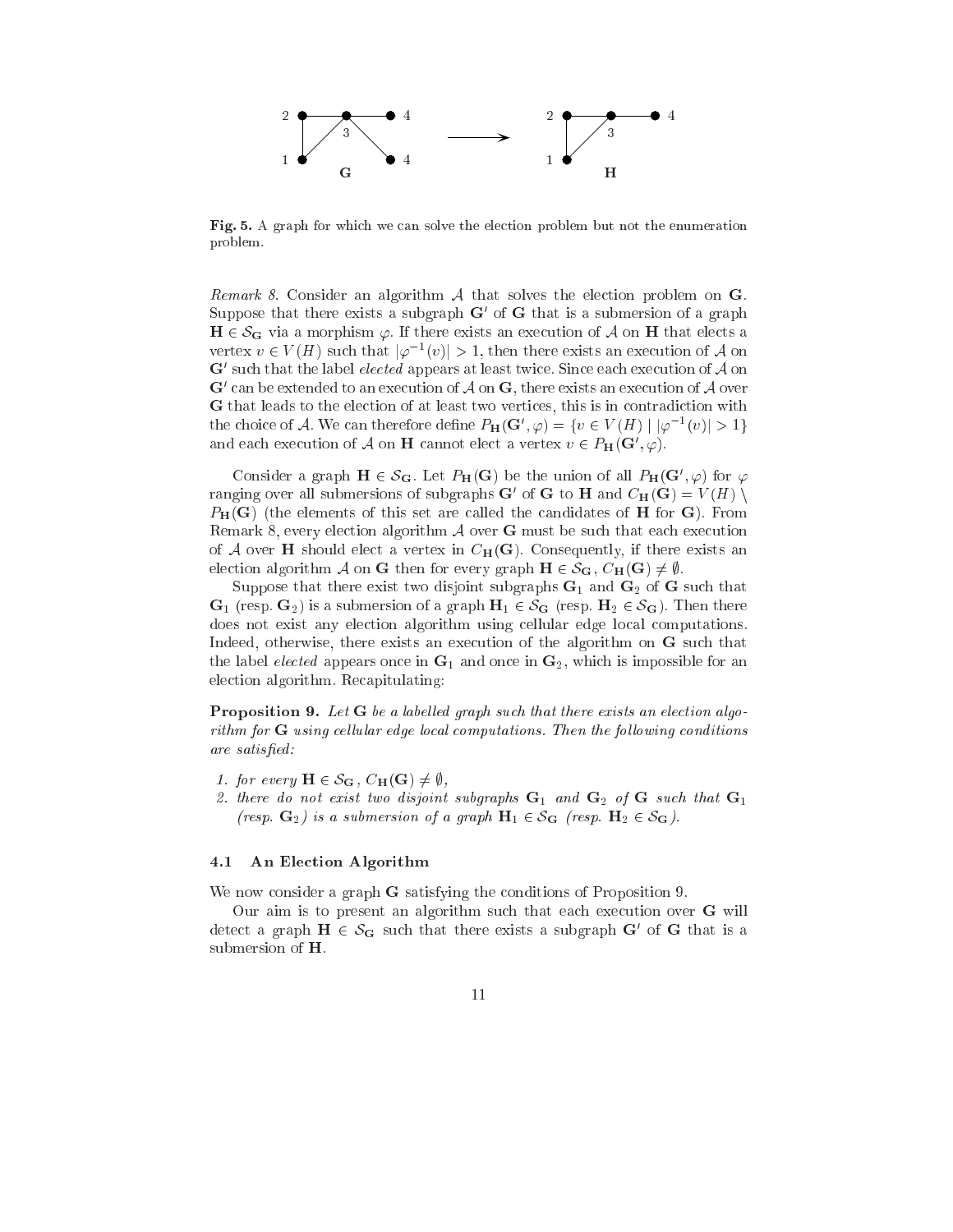

Fig. 5. A graph for which we can solve the election problem but not the enumeration problem.

Remark 8. Consider an algorithm  $\mathcal A$  that solves the election problem on G. Suppose that there exists a subgraph  $G$  of  $G$  that is a submersion of a graph  $H \in \mathcal{S}_G$  via a morphism  $\varphi$ . If there exists an execution of A on H that elects a vertex  $v \in V(H)$  such that  $|\varphi^{-1}(v)| \geq 1$ , then there exists an execution of A on G such that the label *elected* appears at least twice. Since each execution of  $\mathcal A$  on  $\bf G$  can be extended to an execution of  $\cal A$  on  $\bf G$ , there exists an execution of  $\cal A$  over G that leads to the election of at least two vertices, this is in contradiction with the choice of A. We can therefore define  $P_H({\bf G}',\varphi)=\{v\in V(H)\mid |\varphi^{-1}(v)|\geq 1\}$ and each execution of A on **H** cannot elect a vertex  $v \in P_H(\mathbf{G}', \varphi)$ .

Consider a graph  $H \in \mathcal{S}_G$ . Let  $P_H(G)$  be the union of all  $P_H(G', \varphi)$  for  $\varphi$ ranging over all submersions of subgraphs G of G to H and  $\cup_H(G) = V(H) \setminus$  $P_{\text{H}}(G)$  (the elements of this set are called the candidates of **H** for G). From Remark 8, every election algorithm  $A$  over  $G$  must be such that each execution of A over H should elect a vertex in  $C_H(G)$ . Consequently, if there exists an election algorithm A on G then for every graph  $H \in \mathcal{S}_G$ ,  $C_H(G) \neq \emptyset$ .

Suppose that there exist two disjoint subgraphs  $G_1$  and  $G_2$  of G such that  $\mathbf{G}_1$  (resp.  $\mathbf{G}_2$ ) is a submersion of a graph  $\mathbf{H}_1 \in \mathcal{S}_{\mathbf{G}}$  (resp.  $\mathbf{H}_2 \in \mathcal{S}_{\mathbf{G}}$ ). Then there does not exist any election algorithm using cellular edge local computations. Indeed, otherwise, there exists an execution of the algorithm on **G** such that the label *elected* appears once in  $G_1$  and once in  $G_2$ , which is impossible for an ele
tion algorithm. Re
apitulating:

**Proposition 9.** Let  $G$  be a labelled graph such that there exists an election algorithm for G using cellular edge local computations. Then the following conditions are satisfied:

- 1. for every  $H \in \mathcal{S}_G$ ,  $C_H(G) \neq \emptyset$ ,
- 2. there do not exist two disjoint subgraphs  $G_1$  and  $G_2$  of  $G$  such that  $G_1$ (resp.  $\mathbf{G}_2$ ) is a submersion of a graph  $\mathbf{H}_1 \in \mathcal{S}_{\mathbf{G}}$  (resp.  $\mathbf{H}_2 \in \mathcal{S}_{\mathbf{G}}$ ).

### 4.1 An Ele
tion Algorithm

We now consider a graph **G** satisfying the conditions of Proposition 9.

Our aim is to present an algorithm such that each execution over **G** will detect a graph  $\pi \in \mathcal{O}_G$  such that there exists a subgraph  $G$  of  $G$  that is a submersion of H.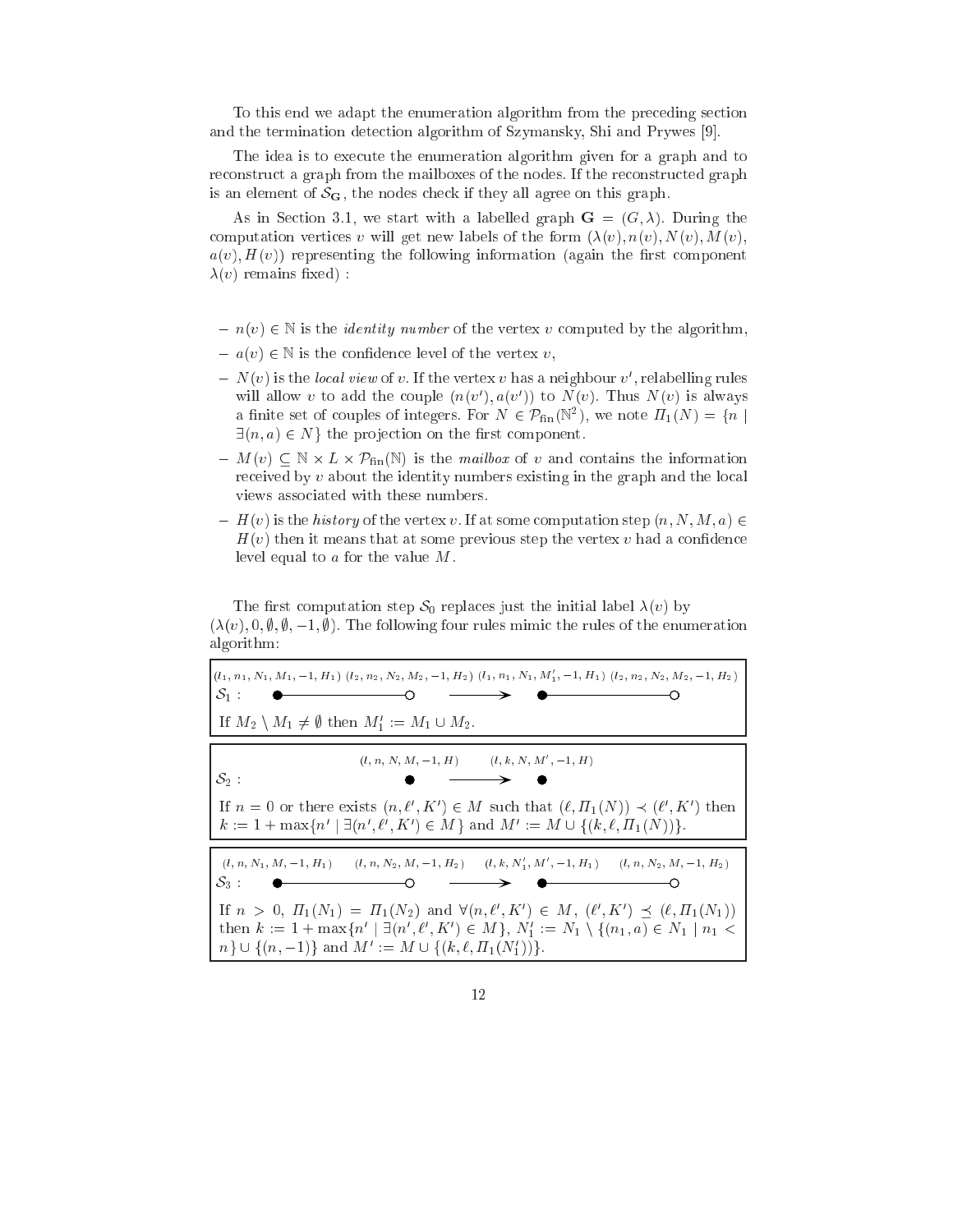To this end we adapt the enumeration algorithm from the pre
eding se
tion and the termination detection algorithm of Szymansky, Shi and Prywes [9].

The idea is to execute the enumeration algorithm given for a graph and to reconstruct a graph from the mailboxes of the nodes. If the reconstructed graph is an element of  $S_{\mathbf{G}}$ , the nodes check if they all agree on this graph.

As in Section 3.1, we start with a labelled graph  $\mathbf{G} = (G, \lambda)$ . During the computation vertices v will get new labels of the form  $(\lambda(v), n(v), N(v), M(v))$  $a(v)$ ,  $H(v)$  representing the following information (again the first component  $\lambda(v)$  remains fixed) :

- ${ -n}(v) \in \mathbb{N}$  is the *identity number* of the vertex v computed by the algorithm,
- $-a(v) \in \mathbb{N}$  is the confidence level of the vertex v,
- $-$  10 (v) is the *local view* of v. If the vertex v has a neighbour v , relabelling rules will allow v to add the couple  $(n(v), a(v))$  to  $N(v)$ . Thus  $N(v)$  is always a mine set of couples of integers. For  $N \in \mathcal{P}_{\text{fin}}(N^*)$ , we note  $H_1(N) = \{n \mid$  $\exists (n, a) \in N$  the projection on the first component.
- $\mathbb{R}^n$  is the mail  $\mathbb{R}^n$  is the mail  $\mathbb{R}^n$  is the main of variable matrix the information of  $\mathbb{R}^n$ received by v about the identity numbers existing in the graph and the local views asso
iated with these numbers.
- ${ H(v) }$  is the history of the vertex v. If at some computation step  $(n, N, M, a) \in$  $H(v)$  then it means that at some previous step the vertex v had a confidence level equal to <sup>a</sup> for the value M.

The first computation step  $S_0$  replaces just the initial label  $\lambda(v)$  by  $(\lambda(v), 0, \emptyset, \emptyset, -1, \emptyset)$ . The following four rules mimic the rules of the enumeration algorithm:

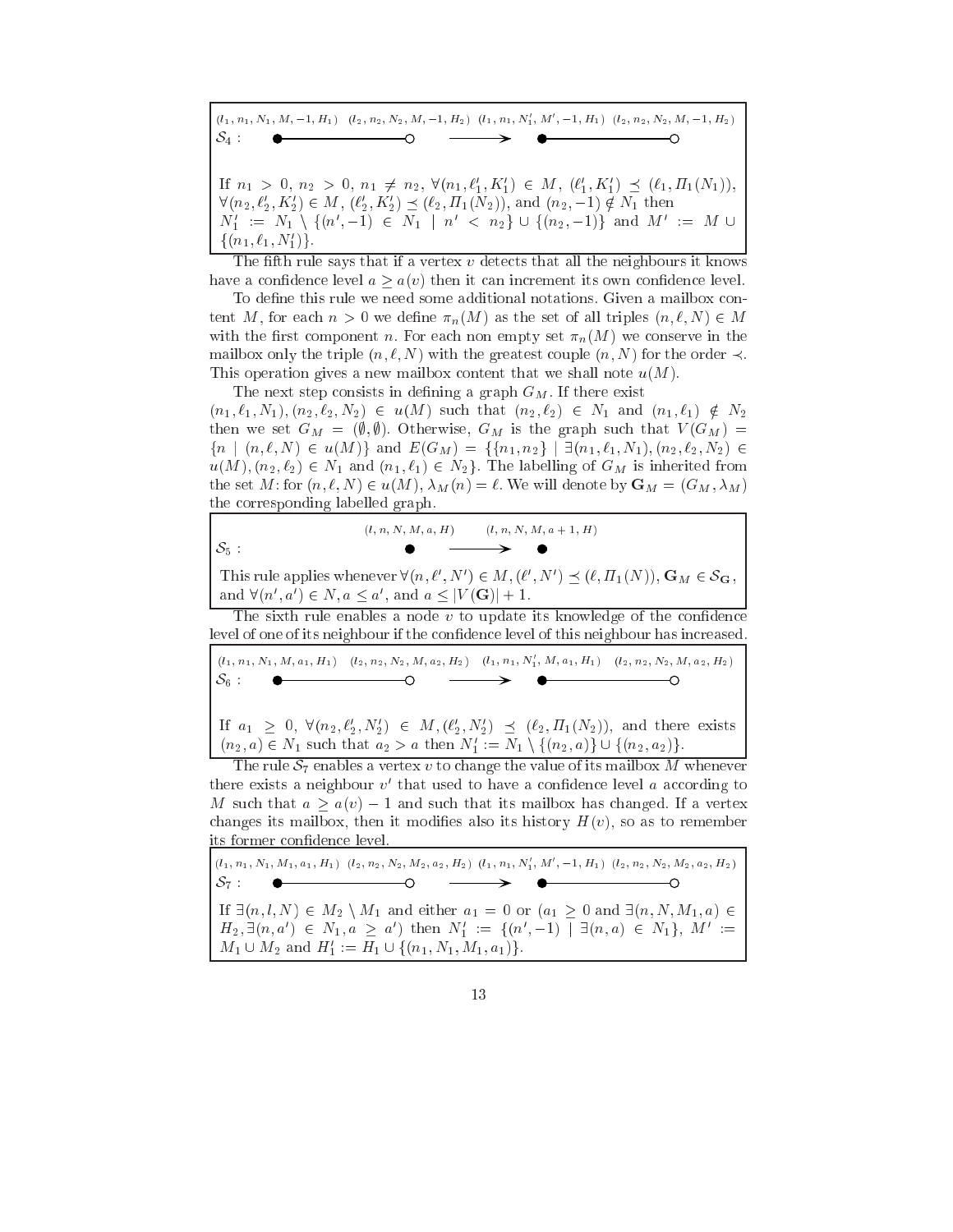$$
\begin{array}{ll}\n(t_1, n_1, N_1, M, -1, H_1) & (t_2, n_2, N_2, M, -1, H_2) & (t_1, n_1, N_1', M', -1, H_1) & (t_2, n_2, N_2, M, -1, H_2) \\
\mathcal{S}_4: & \bigodot & \bigodot & \bigodot \\
\text{If } n_1 > 0, n_2 > 0, n_1 \neq n_2, \forall (n_1, \ell_1', K_1') \in M, (\ell_1', K_1') \preceq (\ell_1, \Pi_1(N_1)), \\
\forall (n_2, \ell_2', K_2') \in M, (\ell_2', K_2') \preceq (\ell_2, \Pi_1(N_2)), \text{ and } (n_2, -1) \notin N_1 \text{ then} \\
N_1' := N_1 \setminus \{(n', -1) \in N_1 \mid n' < n_2\} \cup \{(n_2, -1)\} \text{ and } M' := M \cup \{(n_1, \ell_1, N_1')\}.\n\end{array}
$$

The fifth rule says that if a vertex  $v$  detects that all the neighbours it knows have a confidence level  $a > a(v)$  then it can increment its own confidence level.

To define this rule we need some additional notations. Given a mailbox content M, for each  $n > 0$  we define  $\pi_n(M)$  as the set of all triples  $(n, \ell, N) \in M$ with the first component n. For each non empty set  $\pi_n(M)$  we conserve in the mailbox only the triple  $(n, \ell, N)$  with the greatest couple  $(n, N)$  for the order  $\prec$ . This operation gives a new mailbox content that we shall note  $u(M)$ .

The next step consists in defining a graph  $G_M$ . If there exist

 $(n_1, \ell_1, N_1), (n_2, \ell_2, N_2) \in u(M)$  such that  $(n_2, \ell_2) \in N_1$  and  $(n_1, \ell_1) \notin N_2$ then we set  $G_M = (\emptyset, \emptyset)$ . Otherwise,  $G_M$  is the graph such that  $V(G_M)$  $\{n \mid (n, \ell, N) \in u(M)\}\$  and  $E(G_M) = \{\{n_1, n_2\} \mid \exists (n_1, \ell_1, N_1), (n_2, \ell_2, N_2) \in$  $u(M), (n_2, \ell_2) \in N_1$  and  $(n_1, \ell_1) \in N_2$ . The labelling of  $G_M$  is inherited from the set M: for  $(n, \ell, N) \in u(M), \lambda_M (n) = \ell$ . We will denote by  $\mathbf{G}_M = (G_M, \lambda_M )$ the orresponding labelled graph.

$$
S_5: \qquad (l, n, N, M, a, H) \qquad (l, n, N, M, a+1, H)
$$

I mis rule applies whenever  $v(n, \ell, N) \in M$ ,  $(\ell, N) \preceq (\ell, H_1(N))$ ,  $\mathbf{G}_M \in \mathcal{O}_\mathbf{G}$ , and  $y(n, a) \in N, a \le a$ , and  $a \le |V(\mathbf{G})| + 1$ .

The sixth rule enables a node  $v$  to update its knowledge of the confidence level of one of its neighbour if the confidence level of this neighbour has increased

$$
\begin{array}{ccccccccc}\n(t_1, n_1, N_1, M, a_1, H_1) & (l_2, n_2, N_2, M, a_2, H_2) & (l_1, n_1, N'_1, M, a_1, H_1) & (l_2, n_2, N_2, M, a_2, H_2) \\
\mathcal{S}_6: & & & & & & & \\
\mathcal{S}_6: & & & & & & & \\
\mathcal{S}_6: & & & & & & & & \\
\mathcal{S}_7: & & & & & & & & \\
\mathcal{S}_8: & & & & & & & & & \\
\mathcal{S}_9: & & & & & & & & & \\
\mathcal{S}_9: & & & & & & & & & & \\
\mathcal{S}_9: & & & & & & & & & & \\
\mathcal{S}_9: & & & & & & & & & & \\
\mathcal{S}_9: & & & & & & & & & & \\
\mathcal{S}_9: & & & & & & & & & & & \\
\mathcal{S}_9: & & & & & & & & & & & \\
\mathcal{S}_9: & & & & & & & & & & & \\
\mathcal{S}_9: & & & & & & & & & & & & \\
\mathcal{S}_9: & & & & & & & & & & & & \\
\mathcal{S}_9: & & & & & & & & & & & & & \\
\mathcal{S}_9: & & & & & & & &
$$

 $(n_2, a) \in N_1$  such that  $a_2 > a$  then  $N_1 := N_1 \setminus \{(n_2, a)\} \cup \{(n_2, a_2)\}.$ 

The rule  $S_7$  enables a vertex v to change the value of its mailbox M whenever there exists a neignbour  $v$  -that used to have a connuence level  $a$  according to M such that  $a \geq a(v) - 1$  and such that its mailbox has changed. If a vertex changes its mailbox, then it modifies also its history  $H(v)$ , so as to remember <u>its former confidence level</u>

$$
(l_1, n_1, N_1, M_1, a_1, H_1) (l_2, n_2, N_2, M_2, a_2, H_2) (l_1, n_1, N'_1, M', -1, H_1) (l_2, n_2, N_2, M_2, a_2, H_2)
$$
  
\n $S_7:$    
\n $\bullet$    
\n $\bullet$    
\n $\bullet$    
\n $\bullet$    
\n $\bullet$    
\n $\bullet$    
\n $\bullet$    
\n $\bullet$    
\n $\bullet$    
\n $\bullet$    
\n $\bullet$    
\n $\bullet$    
\n $\bullet$    
\n $\bullet$    
\n $\bullet$    
\n $\bullet$    
\n $\bullet$    
\n $\bullet$    
\n $\bullet$    
\n $\bullet$    
\n $\bullet$    
\n $\bullet$    
\n $\bullet$    
\n $\bullet$    
\n $\bullet$    
\n $\bullet$    
\n $\bullet$    
\n $\bullet$    
\n $\bullet$    
\n $\bullet$    
\n $\bullet$    
\n $\bullet$    
\n $\bullet$    
\n $\bullet$    
\n $\bullet$    
\n $\bullet$    
\n $\bullet$    
\n $\bullet$   $\bullet$    
\n $\bullet$   $\bullet$    
\n $\bullet$   $\bullet$    
\n $\bullet$   $\bullet$    
\n $\bullet$   $\bullet$    
\n $\bullet$   $\bullet$    
\n $\bullet$   $\bullet$    
\n $\bullet$   $\bullet$    
\n $\bullet$   $\bullet$    
\n $\bullet$   $\bullet$    
\n $\bullet$   $\bullet$    
\n $\bullet$   $\bullet$    
\n $\bullet$   $\bullet$    
\n $\bullet$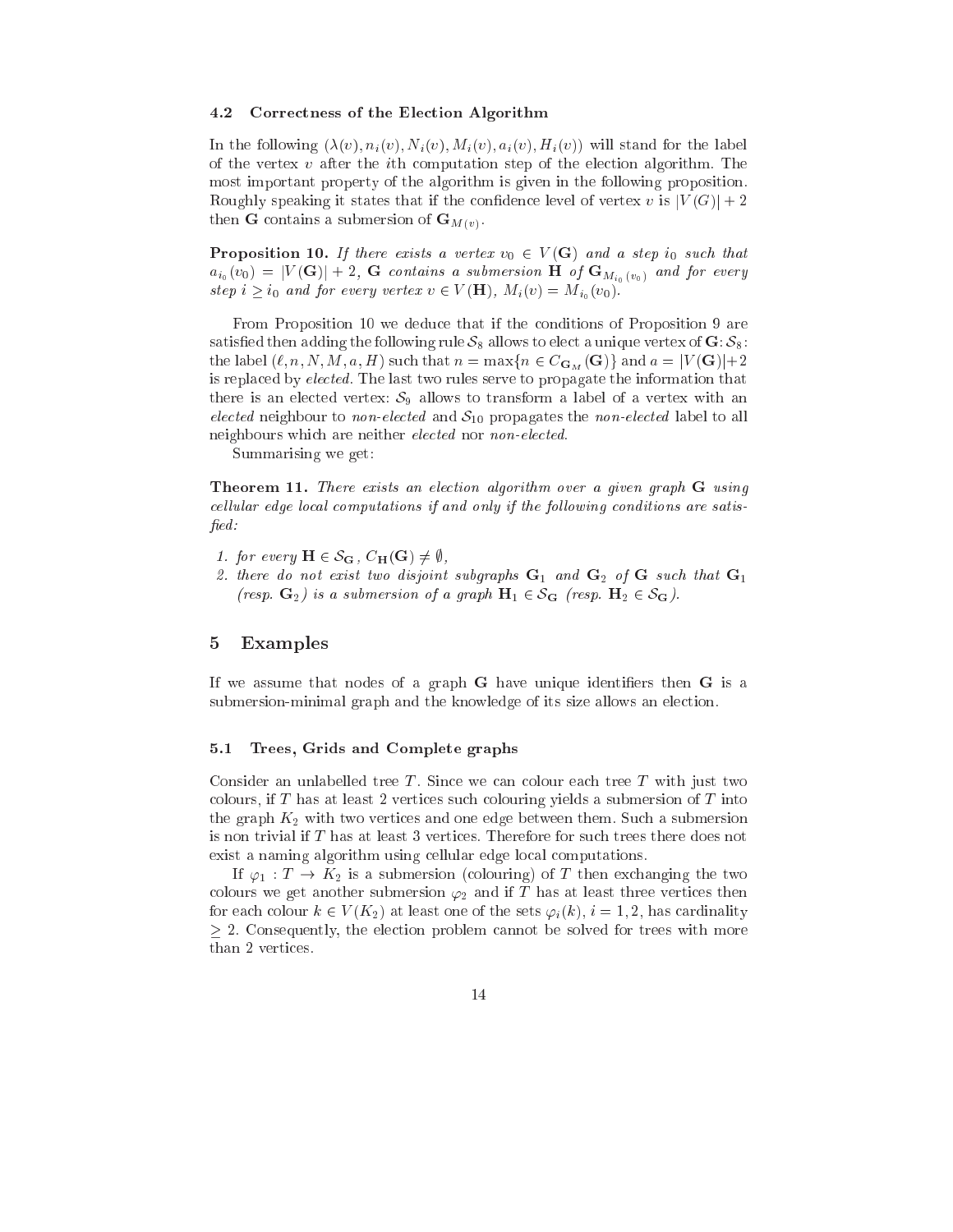### 4.2 Corre
tness of the Ele
tion Algorithm

In the following  $(\lambda(v), n_i(v), N_i(v), M_i(v), a_i(v), H_i(v))$  will stand for the label of the vertex  $v$  after the *i*th computation step of the election algorithm. The most important property of the algorithm is given in the following proposition. Roughly speaking it states that if the confidence level of vertex v is  $|V(G)|+2$ then **G** contains a submersion of  $G_{M(v)}$ .

**Proposition 10.** If there exists a vertex  $v_0 \in V(G)$  and a step i<sub>0</sub> such that  $a_{i_0}(v_0) = |V(\mathbf{G})| + 2$ , G contains a submersion H of  $\mathbf{G}_{M_{i_0}(v_0)}$  and for every step  $i \geq i_0$  and for every vertex  $v \in V(H)$ ,  $M_i(v) = M_{i_0}(v_0)$ .

From Proposition 10 we dedu
e that if the onditions of Proposition 9 are satisfied then adding the following rule  $S_8$  allows to elect a unique vertex of  $\mathbf{G}: S_8$ : the label  $(\ell, n, N, M, a, H)$  such that  $n = \max\{n \in C_{\mathbf{G}_M}(\mathbf{G})\}\$ and  $a = |V(\mathbf{G})|+2$ is replaced by *elected*. The last two rules serve to propagate the information that there is an elected vertex:  $S_9$  allows to transform a label of a vertex with an elected neighbour to non-elected and  $S_{10}$  propagates the non-elected label to all neighbours which are neither *elected* nor non-elected.

Summarising we get:

**Theorem 11.** There exists an election algorithm over a given graph **G** using cellular edge local computations if and only if the following conditions are satis- $\mathit{fied}:$ 

- 1. for every  $\mathbf{H} \in \mathcal{S}_{\mathbf{G}}, C_{\mathbf{H}}(\mathbf{G}) \neq \emptyset$ ,
- 2. there do not exist two disjoint subgraphs  $G_1$  and  $G_2$  of  $G$  such that  $G_1$ (resp.  $G_2$ ) is a submersion of a graph  $H_1 \in S_G$  (resp.  $H_2 \in S_G$ ).

#### 5Examples

If we assume that nodes of a graph  $G$  have unique identifiers then  $G$  is a submersion-minimal graph and the knowledge of its size allows an ele
tion.

# 5.1 Trees, Grids and Complete graphs

Consider an unlabelled tree  $T$ . Since we can colour each tree  $T$  with just two colours, if T has at least 2 vertices such colouring yields a submersion of T into the graph  $K_2$  with two vertices and one edge between them. Such a submersion is non trivial if  $T$  has at least  $3$  vertices. Therefore for such trees there does not exist a naming algorithm using ellular edge lo
al omputations.

If  $\varphi_1 : T \to K_2$  is a submersion (colouring) of T then exchanging the two colours we get another submersion  $\varphi_2$  and if T has at least three vertices then for each colour  $k \in V(K_2)$  at least one of the sets  $\varphi_i(k)$ ,  $i = 1, 2$ , has cardinality 2. Consequently, the ele
tion problem annot be solved for trees with more than 2 verti
es.